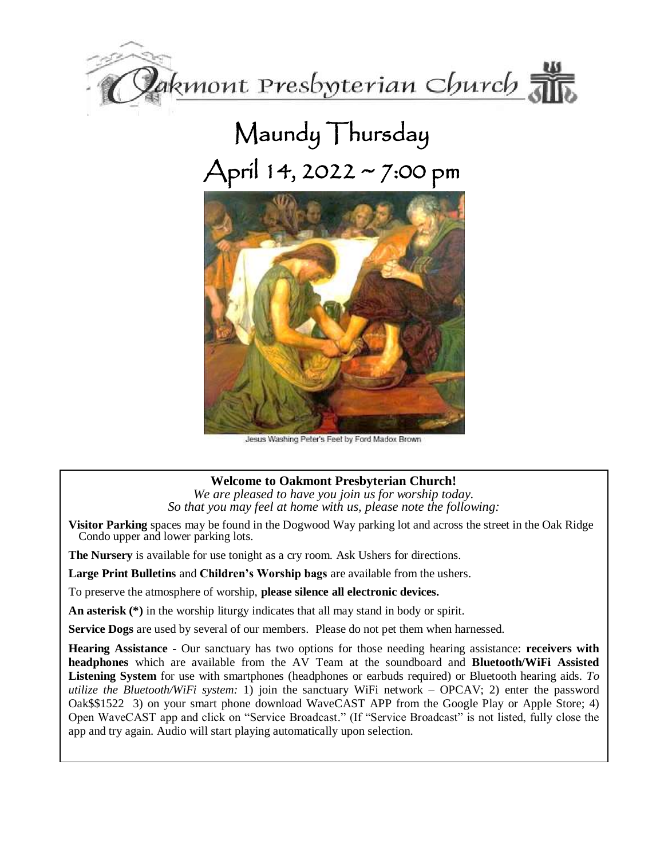

# Maundy Thursday April 14, 2022 ~ 7:00 pm



Jesus Washing Peter's Feet by Ford Madox Brown

## **Welcome to Oakmont Presbyterian Church!**

*We are pleased to have you join us for worship today. So that you may feel at home with us, please note the following:*

**Visitor Parking** spaces may be found in the Dogwood Way parking lot and across the street in the Oak Ridge Condo upper and lower parking lots.

**The Nursery** is available for use tonight as a cry room. Ask Ushers for directions.

**Large Print Bulletins** and **Children's Worship bags** are available from the ushers.

To preserve the atmosphere of worship, **please silence all electronic devices.**

**An asterisk (\*)** in the worship liturgy indicates that all may stand in body or spirit.

**Service Dogs** are used by several of our members. Please do not pet them when harnessed.

**Hearing Assistance -** Our sanctuary has two options for those needing hearing assistance: **receivers with headphones** which are available from the AV Team at the soundboard and **Bluetooth/WiFi Assisted Listening System** for use with smartphones (headphones or earbuds required) or Bluetooth hearing aids. *To utilize the Bluetooth/WiFi system:* 1) join the sanctuary WiFi network – OPCAV; 2) enter the password Oak\$\$1522 3) on your smart phone download WaveCAST APP from the Google Play or Apple Store; 4) Open WaveCAST app and click on "Service Broadcast." (If "Service Broadcast" is not listed, fully close the app and try again. Audio will start playing automatically upon selection.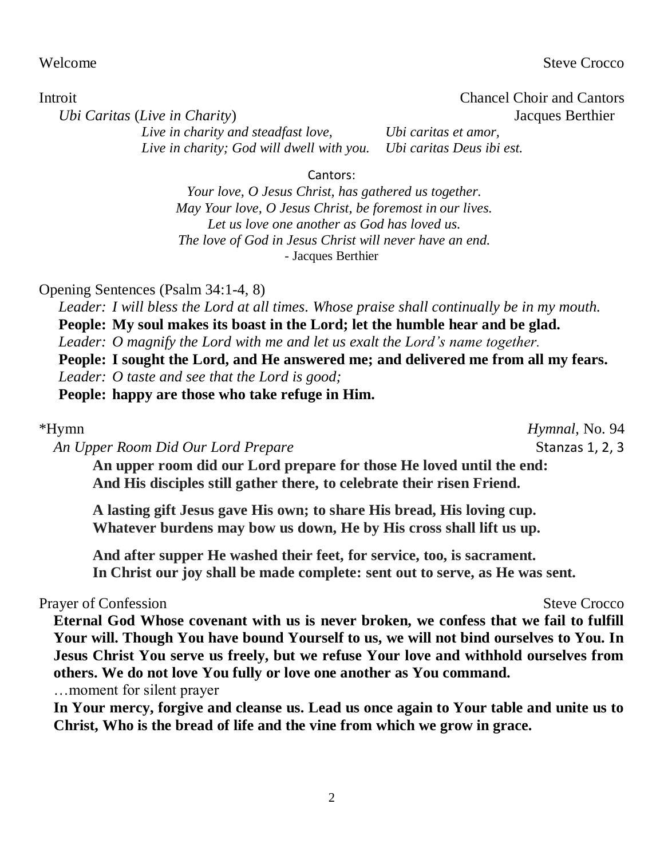Welcome Steve Crocco Steve Crocco

Introit Chancel Choir and Cantors

*Ubi Caritas* (*Live in Charity*) Jacques Berthier

*Live in charity and steadfast love, Ubi caritas et amor, Live in charity; God will dwell with you. Ubi caritas Deus ibi est.*

Cantors:

*Your love, O Jesus Christ, has gathered us together. May Your love, O Jesus Christ, be foremost in our lives. Let us love one another as God has loved us. The love of God in Jesus Christ will never have an end.* - Jacques Berthier

#### Opening Sentences (Psalm 34:1-4, 8)

*Leader: I will bless the Lord at all times. Whose praise shall continually be in my mouth.* **People: My soul makes its boast in the Lord; let the humble hear and be glad.** *Leader: O magnify the Lord with me and let us exalt the Lord's name together.* **People: I sought the Lord, and He answered me; and delivered me from all my fears.** *Leader: O taste and see that the Lord is good;* **People: happy are those who take refuge in Him.**

*An Upper Room Did Our Lord Prepare* Stanzas 1, 2, 3

\*Hymn *Hymnal*, No. 94

**An upper room did our Lord prepare for those He loved until the end: And His disciples still gather there, to celebrate their risen Friend.**

**A lasting gift Jesus gave His own; to share His bread, His loving cup. Whatever burdens may bow us down, He by His cross shall lift us up.**

**And after supper He washed their feet, for service, too, is sacrament. In Christ our joy shall be made complete: sent out to serve, as He was sent.**

#### Prayer of Confession Steve Crocco

**Eternal God Whose covenant with us is never broken, we confess that we fail to fulfill Your will. Though You have bound Yourself to us, we will not bind ourselves to You. In Jesus Christ You serve us freely, but we refuse Your love and withhold ourselves from others. We do not love You fully or love one another as You command.** …moment for silent prayer

**In Your mercy, forgive and cleanse us. Lead us once again to Your table and unite us to Christ, Who is the bread of life and the vine from which we grow in grace.**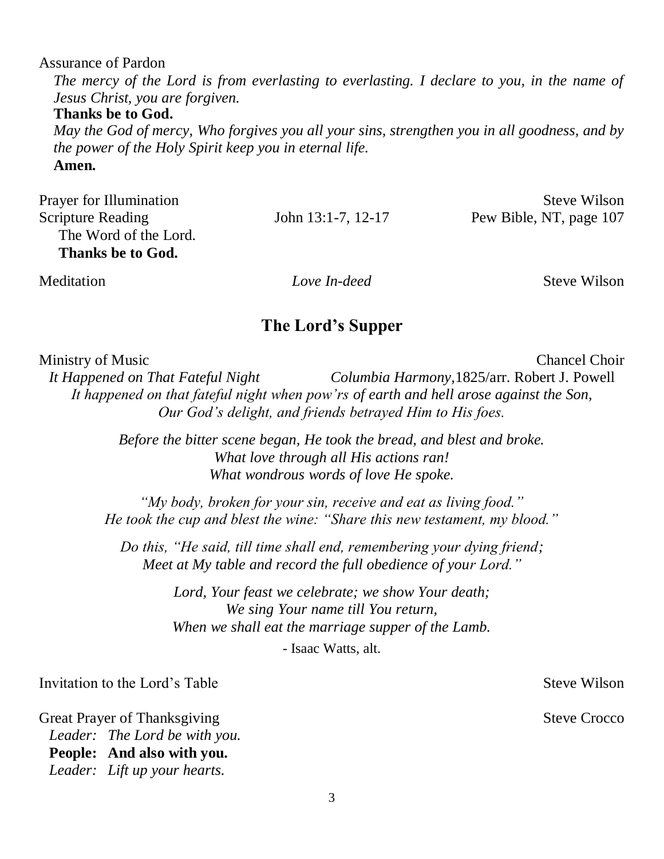Assurance of Pardon

*The mercy of the Lord is from everlasting to everlasting. I declare to you, in the name of Jesus Christ, you are forgiven.*

**Thanks be to God.** 

*May the God of mercy, Who forgives you all your sins, strengthen you in all goodness, and by the power of the Holy Spirit keep you in eternal life.* 

**Amen.**

| <b>Prayer for Illumination</b> |                         | Steve Wilson            |
|--------------------------------|-------------------------|-------------------------|
| <b>Scripture Reading</b>       | John $13:1-7$ , $12-17$ | Pew Bible, NT, page 107 |
| The Word of the Lord.          |                         |                         |
| Thanks be to God.              |                         |                         |
| Meditation                     | Love In-deed            | Steve Wilson            |

### **The Lord's Supper**

Ministry of Music Chancel Choir

*It Happened on That Fateful Night Columbia Harmony,*1825/arr. Robert J. Powell *It happened on that fateful night when pow'rs of earth and hell arose against the Son, Our God's delight, and friends betrayed Him to His foes.*

> *Before the bitter scene began, He took the bread, and blest and broke. What love through all His actions ran! What wondrous words of love He spoke.*

*"My body, broken for your sin, receive and eat as living food." He took the cup and blest the wine: "Share this new testament, my blood."*

*Do this, "He said, till time shall end, remembering your dying friend; Meet at My table and record the full obedience of your Lord."*

> *Lord, Your feast we celebrate; we show Your death; We sing Your name till You return, When we shall eat the marriage supper of the Lamb.* - Isaac Watts, alt.

Invitation to the Lord's Table Steve Wilson

Great Prayer of Thanksgiving Steve Crocco *Leader: The Lord be with you.* **People: And also with you.** *Leader: Lift up your hearts.*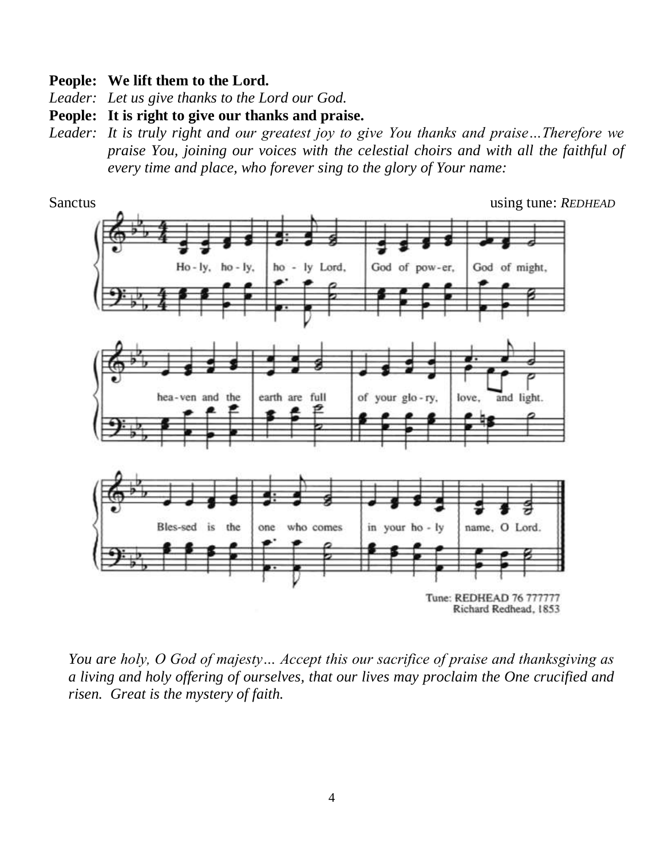#### **People: We lift them to the Lord.**

*Leader: Let us give thanks to the Lord our God.*

**People: It is right to give our thanks and praise.**

*Leader: It is truly right and our greatest joy to give You thanks and praise…Therefore we praise You, joining our voices with the celestial choirs and with all the faithful of every time and place, who forever sing to the glory of Your name:*



*You are holy, O God of majesty… Accept this our sacrifice of praise and thanksgiving as a living and holy offering of ourselves, that our lives may proclaim the One crucified and risen. Great is the mystery of faith.*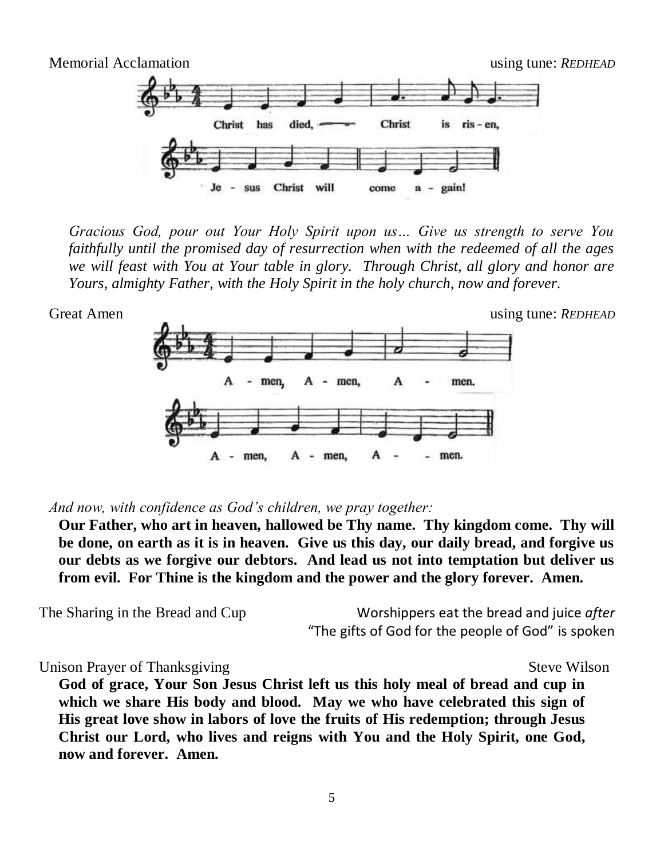

*Gracious God, pour out Your Holy Spirit upon us… Give us strength to serve You faithfully until the promised day of resurrection when with the redeemed of all the ages we will feast with You at Your table in glory. Through Christ, all glory and honor are Yours, almighty Father, with the Holy Spirit in the holy church, now and forever.* 



Great Amen using tune: *REDHEAD* 



*And now, with confidence as God's children, we pray together:*

**Our Father, who art in heaven, hallowed be Thy name. Thy kingdom come. Thy will be done, on earth as it is in heaven. Give us this day, our daily bread, and forgive us our debts as we forgive our debtors. And lead us not into temptation but deliver us from evil. For Thine is the kingdom and the power and the glory forever. Amen.**

The Sharing in the Bread and Cup Worshippers eat the bread and juice *after* "The gifts of God for the people of God" is spoken

Unison Prayer of Thanksgiving Steve Wilson

**God of grace, Your Son Jesus Christ left us this holy meal of bread and cup in which we share His body and blood. May we who have celebrated this sign of His great love show in labors of love the fruits of His redemption; through Jesus Christ our Lord, who lives and reigns with You and the Holy Spirit, one God, now and forever. Amen.**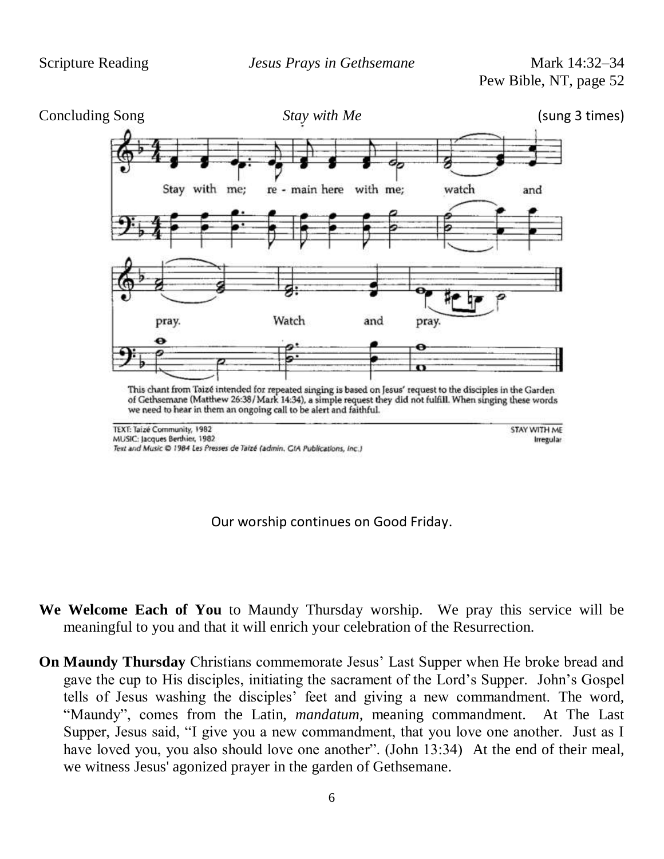Pew Bible, NT, page 52



Our worship continues on Good Friday.

- **We Welcome Each of You** to Maundy Thursday worship. We pray this service will be meaningful to you and that it will enrich your celebration of the Resurrection.
- **On Maundy Thursday** Christians commemorate Jesus' Last Supper when He broke bread and gave the cup to His disciples, initiating the sacrament of the Lord's Supper. John's Gospel tells of Jesus washing the disciples' feet and giving a new commandment. The word, "Maundy", comes from the Latin, *mandatum,* meaning commandment. At The Last Supper, Jesus said, "I give you a new commandment, that you love one another. Just as I have loved you, you also should love one another". (John 13:34) At the end of their meal, we witness Jesus' agonized prayer in the garden of Gethsemane.